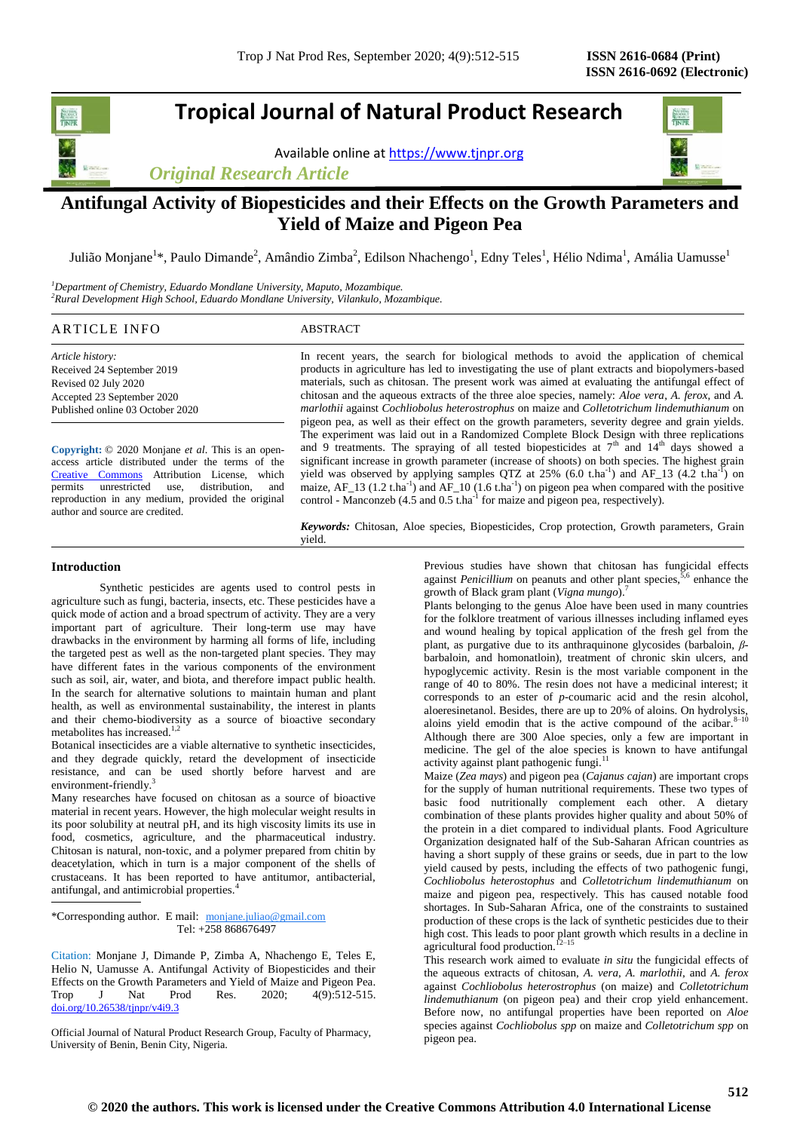# **Tropical Journal of Natural Product Research**

Available online a[t https://www.tjnpr.org](https://www.tjnpr.org/)

*Original Research Article*



Julião Monjane<sup>1</sup>\*, Paulo Dimande<sup>2</sup>, Amândio Zimba<sup>2</sup>, Edilson Nhachengo<sup>1</sup>, Edny Teles<sup>1</sup>, Hélio Ndima<sup>1</sup>, Amália Uamusse<sup>1</sup>

*<sup>1</sup>Department of Chemistry, Eduardo Mondlane University, Maputo, Mozambique. <sup>2</sup>Rural Development High School, Eduardo Mondlane University, Vilankulo, Mozambique.*

## ARTICLE INFO ABSTRACT

*Article history:* Received 24 September 2019 Revised 02 July 2020 Accepted 23 September 2020 Published online 03 October 2020

**Copyright:** © 2020 Monjane *et al*. This is an openaccess article distributed under the terms of the [Creative Commons](https://creativecommons.org/licenses/by/4.0/) Attribution License, which permits unrestricted use, distribution, and reproduction in any medium, provided the original author and source are credited.

In recent years, the search for biological methods to avoid the application of chemical products in agriculture has led to investigating the use of plant extracts and biopolymers-based materials, such as chitosan. The present work was aimed at evaluating the antifungal effect of chitosan and the aqueous extracts of the three aloe species, namely: *Aloe vera*, *A. ferox*, and *A. marlothii* against *Cochliobolus heterostrophus* on maize and *Colletotrichum lindemuthianum* on pigeon pea, as well as their effect on the growth parameters, severity degree and grain yields. The experiment was laid out in a Randomized Complete Block Design with three replications and 9 treatments. The spraying of all tested biopesticides at  $7<sup>th</sup>$  and  $14<sup>th</sup>$  days showed a significant increase in growth parameter (increase of shoots) on both species. The highest grain yield was observed by applying samples QTZ at 25% (6.0 t.ha<sup>-1</sup>) and AF\_13 (4.2 t.ha<sup>-1</sup>) on maize,  $AF_13$  (1.2 t.ha<sup>-1</sup>) and  $AF_10$  (1.6 t.ha<sup>-1</sup>) on pigeon pea when compared with the positive control - Manconzeb  $(4.5 \text{ and } 0.5 \text{ that}^{-1})$  for maize and pigeon pea, respectively).

*Keywords:* Chitosan, Aloe species, Biopesticides, Crop protection, Growth parameters, Grain yield.

## **Introduction**

Synthetic pesticides are agents used to control pests in agriculture such as fungi, bacteria, insects, etc. These pesticides have a quick mode of action and a broad spectrum of activity. They are a very important part of agriculture. Their long-term use may have drawbacks in the environment by harming all forms of life, including the targeted pest as well as the non-targeted plant species. They may have different fates in the various components of the environment such as soil, air, water, and biota, and therefore impact public health. In the search for alternative solutions to maintain human and plant health, as well as environmental sustainability, the interest in plants and their chemo-biodiversity as a source of bioactive secondary metabolites has increased. $1,2$ 

Botanical insecticides are a viable alternative to synthetic insecticides, and they degrade quickly, retard the development of insecticide resistance, and can be used shortly before harvest and are environment-friendly.<sup>3</sup>

Many researches have focused on chitosan as a source of bioactive material in recent years. However, the high molecular weight results in its poor solubility at neutral pH, and its high viscosity limits its use in food, cosmetics, agriculture, and the pharmaceutical industry. Chitosan is natural, non-toxic, and a polymer prepared from chitin by deacetylation, which in turn is a major component of the shells of crustaceans. It has been reported to have antitumor, antibacterial, antifungal, and antimicrobial properties.<sup>4</sup>

\*Corresponding author. E mail: [monjane.juliao@gmail.com](mailto:juliao.monjane@uem.mz)  [Tel: +258 868676497](mailto:juliao.monjane@uem.mz)

Citation: Monjane J, Dimande [P, Zimba A, Nhachengo E, Teles E,](mailto:juliao.monjane@uem.mz) Helio N, Uamusse A. [Antifungal Activity of Biopesticides and their](mailto:juliao.monjane@uem.mz)  [Effects on the Growth Parameters and Yield of Maize and](mailto:juliao.monjane@uem.mz) Pigeon Pea. [Trop J Nat Prod Res. 2020; 4\(9\):512-515.](mailto:juliao.monjane@uem.mz)  [doi.org/10.26538/tjnpr/v4i9.3](http://www.doi.org/10.26538/tjnpr/v1i4.5)

Official Journal of Natural Product Research Group, Faculty of Pharmacy, University of Benin, Benin City, Nigeria.

Previous studies have shown that chitosan has fungicidal effects against *Penicillium* on peanuts and other plant species,  $5.6$  enhance the against *Penicillium* on peanuts and other plant species,<sup>5</sup> growth of Black gram plant (*Vigna mungo*).<sup>7</sup>

Plants belonging to the genus Aloe have been used in many countries for the folklore treatment of various illnesses including inflamed eyes and wound healing by topical application of the fresh gel from the plant, as purgative due to its anthraquinone glycosides (barbaloin, *β*barbaloin, and homonatloin), treatment of chronic skin ulcers, and hypoglycemic activity. Resin is the most variable component in the range of 40 to 80%. The resin does not have a medicinal interest; it corresponds to an ester of *p*-coumaric acid and the resin alcohol, corresponds to an ester or  $p$  commences and  $q$  of aloins. On hydrolysis, aloeresinetanol. Besides, there are up to 20% of aloins. On hydrolysis, aloins yield emodin that is the active compound of the acibar. $8$ Although there are 300 Aloe species, only a few are important in medicine. The gel of the aloe species is known to have antifungal activity against plant pathogenic fungi.<sup>11</sup>

Maize (*Zea mays*) and pigeon pea (*Cajanus cajan*) are important crops for the supply of human nutritional requirements. These two types of basic food nutritionally complement each other. A dietary combination of these plants provides higher quality and about 50% of the protein in a diet compared to individual plants. Food Agriculture Organization designated half of the Sub-Saharan African countries as having a short supply of these grains or seeds, due in part to the low yield caused by pests, including the effects of two pathogenic fungi, *Cochliobolus heterostophus* and *Colletotrichum lindemuthianum* on maize and pigeon pea, respectively. This has caused notable food shortages. In Sub-Saharan Africa, one of the constraints to sustained production of these crops is the lack of synthetic pesticides due to their high cost. This leads to poor plant growth which results in a decline in agricultural food production.<sup>12–15</sup>

This research work aimed to evaluate *in situ* the fungicidal effects of the aqueous extracts of chitosan, *A. vera*, *A. marlothii*, and *A. ferox* against *Cochliobolus heterostrophus* (on maize) and *Colletotrichum lindemuthianum* (on pigeon pea) and their crop yield enhancement. Before now, no antifungal properties have been reported on *Aloe* species against *Cochliobolus spp* on maize and *Colletotrichum spp* on pigeon pea.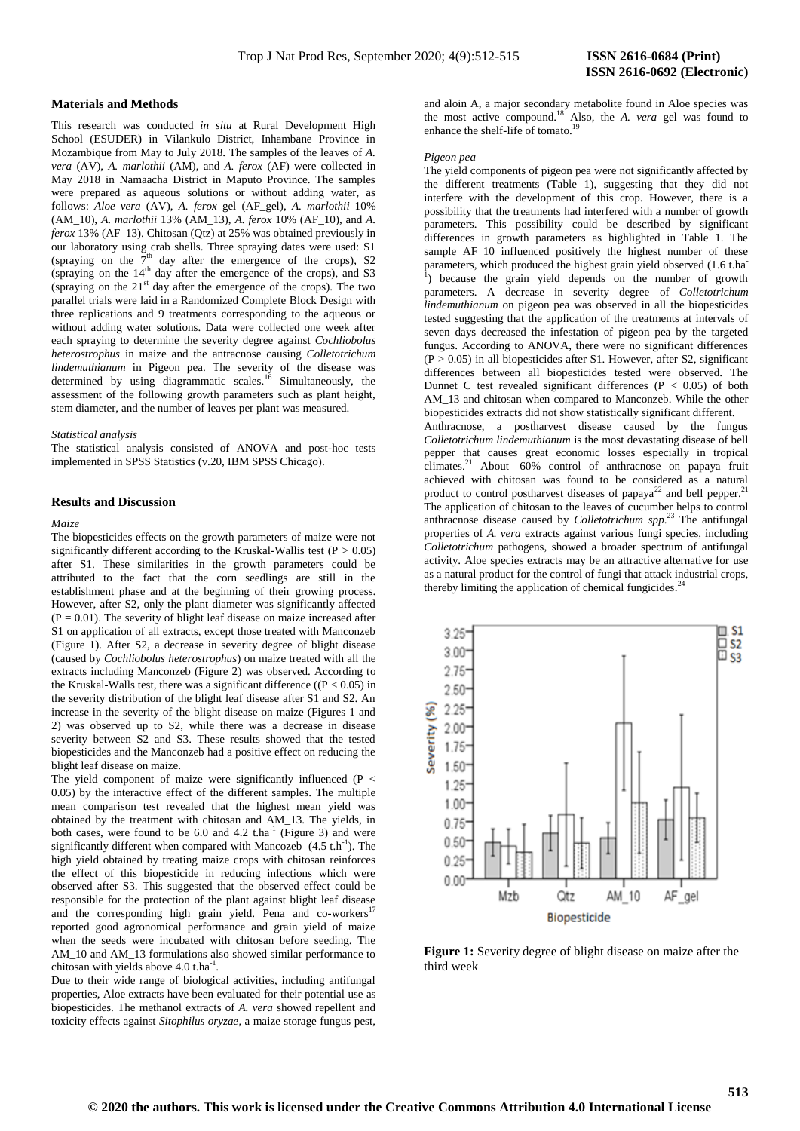#### **Materials and Methods**

This research was conducted *in situ* at Rural Development High School (ESUDER) in Vilankulo District, Inhambane Province in Mozambique from May to July 2018. The samples of the leaves of *A. vera* (AV), *A. marlothii* (AM), and *A. ferox* (AF) were collected in May 2018 in Namaacha District in Maputo Province. The samples were prepared as aqueous solutions or without adding water, as follows: *Aloe vera* (AV), *A. ferox* gel (AF\_gel), *A. marlothii* 10% (AM\_10), *A. marlothii* 13% (AM\_13), *A. ferox* 10% (AF\_10), and *A. ferox* 13% (AF\_13). Chitosan (Qtz) at 25% was obtained previously in our laboratory using crab shells. Three spraying dates were used: S1 (spraying on the  $7<sup>th</sup>$  day after the emergence of the crops), S2 (spraying on the  $14<sup>th</sup>$  day after the emergence of the crops), and S3 (spraying on the  $21<sup>st</sup>$  day after the emergence of the crops). The two parallel trials were laid in a Randomized Complete Block Design with three replications and 9 treatments corresponding to the aqueous or without adding water solutions. Data were collected one week after each spraying to determine the severity degree against *Cochliobolus heterostrophus* in maize and the antracnose causing *Colletotrichum lindemuthianum* in Pigeon pea. The severity of the disease was determined by using diagrammatic scales.<sup>16</sup> Simultaneously, the assessment of the following growth parameters such as plant height, stem diameter, and the number of leaves per plant was measured.

## *Statistical analysis*

The statistical analysis consisted of ANOVA and post-hoc tests implemented in SPSS Statistics (v.20, IBM SPSS Chicago).

## **Results and Discussion**

## *Maize*

The biopesticides effects on the growth parameters of maize were not significantly different according to the Kruskal-Wallis test ( $P > 0.05$ ) after S1. These similarities in the growth parameters could be attributed to the fact that the corn seedlings are still in the establishment phase and at the beginning of their growing process. However, after S2, only the plant diameter was significantly affected  $(P = 0.01)$ . The severity of blight leaf disease on maize increased after S1 on application of all extracts, except those treated with Manconzeb (Figure 1). After S2, a decrease in severity degree of blight disease (caused by *Cochliobolus heterostrophus*) on maize treated with all the extracts including Manconzeb (Figure 2) was observed. According to the Kruskal-Walls test, there was a significant difference ( $(P < 0.05)$ ) in the severity distribution of the blight leaf disease after S1 and S2. An increase in the severity of the blight disease on maize (Figures 1 and 2) was observed up to S2, while there was a decrease in disease severity between S2 and S3. These results showed that the tested biopesticides and the Manconzeb had a positive effect on reducing the blight leaf disease on maize.

The yield component of maize were significantly influenced (P < 0.05) by the interactive effect of the different samples. The multiple mean comparison test revealed that the highest mean yield was obtained by the treatment with chitosan and AM\_13. The yields, in both cases, were found to be  $6.0$  and  $4.2$  t.ha<sup>-1</sup> (Figure 3) and were significantly different when compared with Mancozeb  $(4.5 \text{ th}^{-1})$ . The high yield obtained by treating maize crops with chitosan reinforces the effect of this biopesticide in reducing infections which were observed after S3. This suggested that the observed effect could be responsible for the protection of the plant against blight leaf disease and the corresponding high grain yield. Pena and co-workers<sup>1</sup> reported good agronomical performance and grain yield of maize when the seeds were incubated with chitosan before seeding. The AM 10 and AM 13 formulations also showed similar performance to chitosan with yields above 4.0 t.ha<sup>-1</sup>.

Due to their wide range of biological activities, including antifungal properties, Aloe extracts have been evaluated for their potential use as biopesticides. The methanol extracts of *A. vera* showed repellent and toxicity effects against *Sitophilus oryzae*, a maize storage fungus pest,

and aloin A, a major secondary metabolite found in Aloe species was the most active compound.<sup>18</sup> Also, the *A. vera* gel was found to enhance the shelf-life of tomato.<sup>19</sup>

#### *Pigeon pea*

The yield components of pigeon pea were not significantly affected by the different treatments (Table 1), suggesting that they did not interfere with the development of this crop. However, there is a possibility that the treatments had interfered with a number of growth parameters. This possibility could be described by significant differences in growth parameters as highlighted in Table 1. The sample AF\_10 influenced positively the highest number of these parameters, which produced the highest grain yield observed (1.6 t.ha ) because the grain yield depends on the number of growth parameters. A decrease in severity degree of *Colletotrichum lindemuthianum* on pigeon pea was observed in all the biopesticides tested suggesting that the application of the treatments at intervals of seven days decreased the infestation of pigeon pea by the targeted fungus. According to ANOVA, there were no significant differences  $(P > 0.05)$  in all biopesticides after S1. However, after S2, significant differences between all biopesticides tested were observed. The Dunnet C test revealed significant differences ( $P < 0.05$ ) of both AM\_13 and chitosan when compared to Manconzeb. While the other biopesticides extracts did not show statistically significant different.

Anthracnose, a postharvest disease caused by the fungus *Colletotrichum lindemuthianum* is the most devastating disease of bell pepper that causes great economic losses especially in tropical climates.<sup>21</sup> About 60% control of anthracnose on papaya fruit achieved with chitosan was found to be considered as a natural product to control postharvest diseases of papaya<sup>22</sup> and bell pepper.<sup>21</sup> The application of chitosan to the leaves of cucumber helps to control anthracnose disease caused by *Colletotrichum spp*. <sup>23</sup> The antifungal properties of *A. vera* extracts against various fungi species, including *Colletotrichum* pathogens, showed a broader spectrum of antifungal activity. Aloe species extracts may be an attractive alternative for use as a natural product for the control of fungi that attack industrial crops, thereby limiting the application of chemical fungicides.<sup>24</sup>



**Figure 1:** Severity degree of blight disease on maize after the third week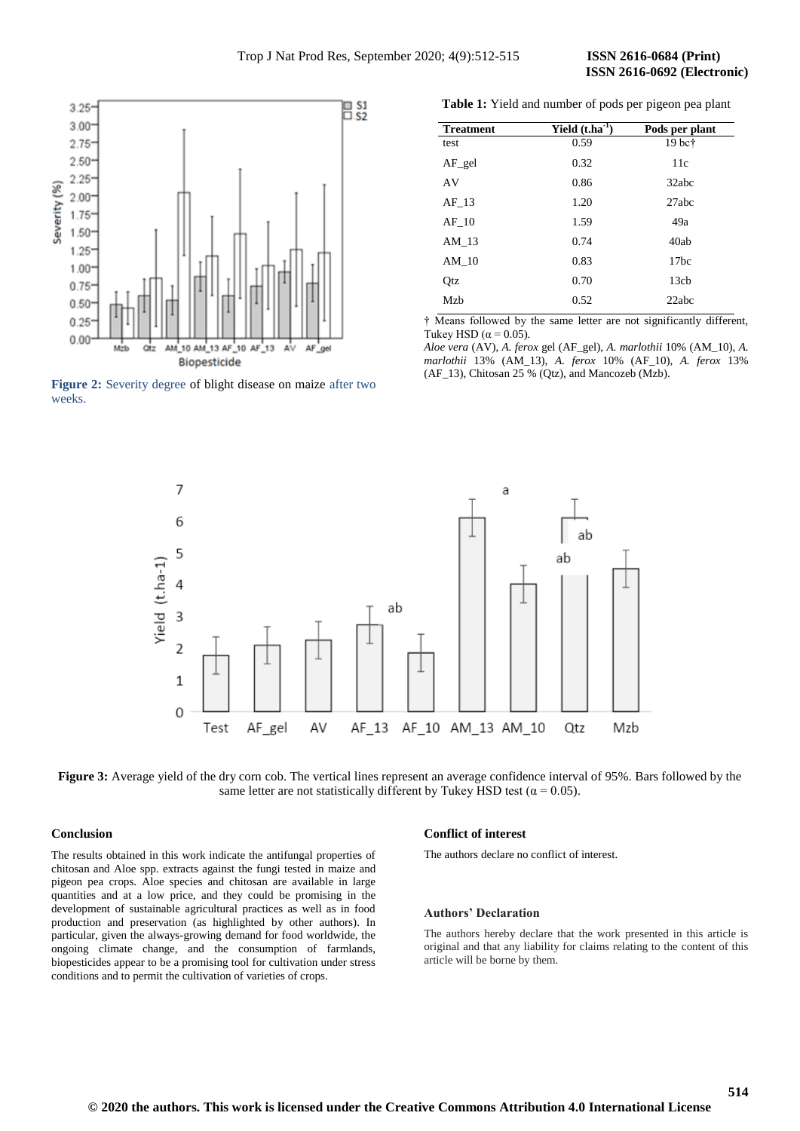

**Figure 2:** Severity degree of blight disease on maize after two weeks.

**Table 1:** Yield and number of pods per pigeon pea plant

| <b>Treatment</b> | Yield $(t.ha^{-1})$ | Pods per plant   |
|------------------|---------------------|------------------|
| test             | 0.59                | $19~\text{bc}$ † |
| $AF$ gel         | 0.32                | 11c              |
| AV               | 0.86                | 32abc            |
| AF 13            | 1.20                | 27abc            |
| AF 10            | 1.59                | 49a              |
| AM 13            | 0.74                | 40ab             |
| AM 10            | 0.83                | 17 <sub>bc</sub> |
| Otz              | 0.70                | 13 <sub>ch</sub> |
| Mzb              | 0.52                | 22abc            |

† Means followed by the same letter are not significantly different, Tukey HSD ( $\alpha$  = 0.05).

*Aloe vera* (AV), *A. ferox* gel (AF\_gel), *A. marlothii* 10% (AM\_10), *A. marlothii* 13% (AM\_13), *A. ferox* 10% (AF\_10), *A. ferox* 13% (AF\_13), Chitosan 25 % (Qtz), and Mancozeb (Mzb).



**Figure 3:** Average yield of the dry corn cob. The vertical lines represent an average confidence interval of 95%. Bars followed by the same letter are not statistically different by Tukey HSD test ( $\alpha$  = 0.05).

## **Conclusion**

The results obtained in this work indicate the antifungal properties of chitosan and Aloe spp. extracts against the fungi tested in maize and pigeon pea crops. Aloe species and chitosan are available in large quantities and at a low price, and they could be promising in the development of sustainable agricultural practices as well as in food production and preservation (as highlighted by other authors). In particular, given the always-growing demand for food worldwide, the ongoing climate change, and the consumption of farmlands, biopesticides appear to be a promising tool for cultivation under stress conditions and to permit the cultivation of varieties of crops.

## **Conflict of interest**

The authors declare no conflict of interest.

### **Authors' Declaration**

The authors hereby declare that the work presented in this article is original and that any liability for claims relating to the content of this article will be borne by them.